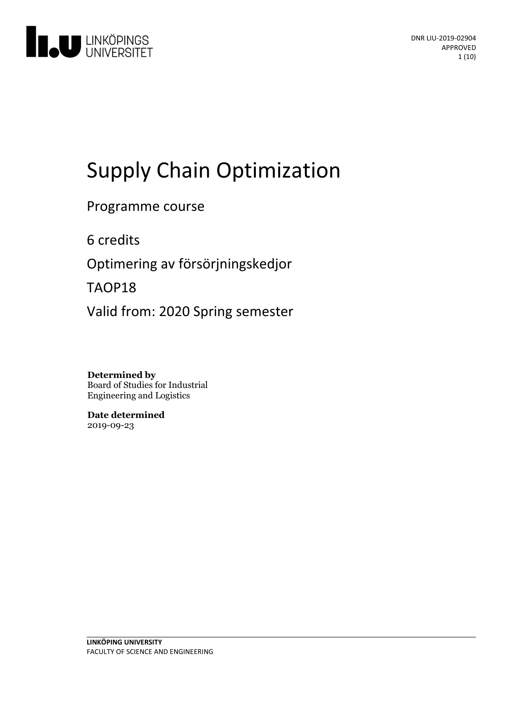

# Supply Chain Optimization

Programme course

6 credits

Optimeringav försörjningskedjor

TAOP18

Valid from: 2020 Spring semester

**Determined by** Board of Studies for Industrial Engineering and Logistics

**Date determined** 2019-09-23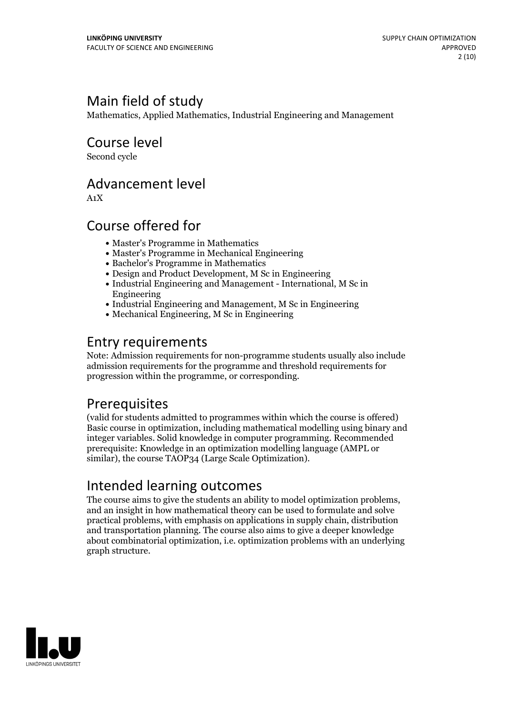### Main field of study

Mathematics, Applied Mathematics, Industrial Engineering and Management

Course level

Second cycle

### Advancement level

A1X

### Course offered for

- Master's Programme in Mathematics
- Master's Programme in Mechanical Engineering
- Bachelor's Programme in Mathematics
- Design and Product Development, M Sc in Engineering
- Industrial Engineering and Management International, M Sc in Engineering
- Industrial Engineering and Management, M Sc in Engineering
- Mechanical Engineering, M Sc in Engineering

### Entry requirements

Note: Admission requirements for non-programme students usually also include admission requirements for the programme and threshold requirements for progression within the programme, or corresponding.

### **Prerequisites**

(valid for students admitted to programmes within which the course is offered) Basic course in optimization, including mathematical modelling using binary and integer variables. Solid knowledge in computer programming. Recommended prerequisite: Knowledge in an optimization modelling language (AMPL or similar), the course TAOP34 (Large Scale Optimization).

Intended learning outcomes<br>The course aims to give the students an ability to model optimization problems, and an insight in how mathematical theory can be used to formulate and solve practical problems, with emphasis on applications in supply chain, distribution and transportation planning. The course also aims to give a deeper knowledge about combinatorial optimization, i.e. optimization problems with an underlying graph structure.

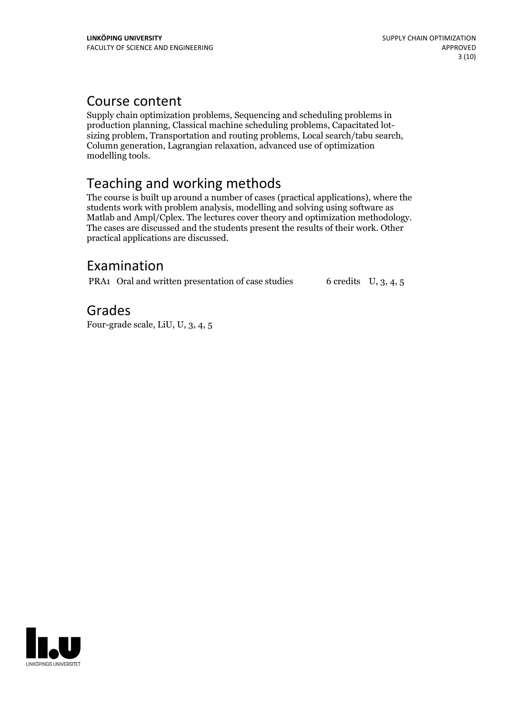### Course content

Supply chain optimization problems, Sequencing and scheduling problems in production planning, Classical machine scheduling problems, Capacitated lot-<br>sizing problem, Transportation and routing problems, Local search/tabu search,<br>Column generation, Lagrangian relaxation, advanced use of optimiza modelling tools.

### Teaching and working methods

The course is built up around a number of cases (practical applications), where the students work with problem analysis, modelling and solving using software as Matlab and Ampl/Cplex. The lectures cover theory and optimization methodology. The cases are discussed and the students present the results of their work. Other practical applications are discussed.

### Examination

PRA1 Oral and written presentation of case studies  $6$  credits  $U$ , 3, 4, 5

Grades Four-grade scale, LiU, U, 3, 4, 5

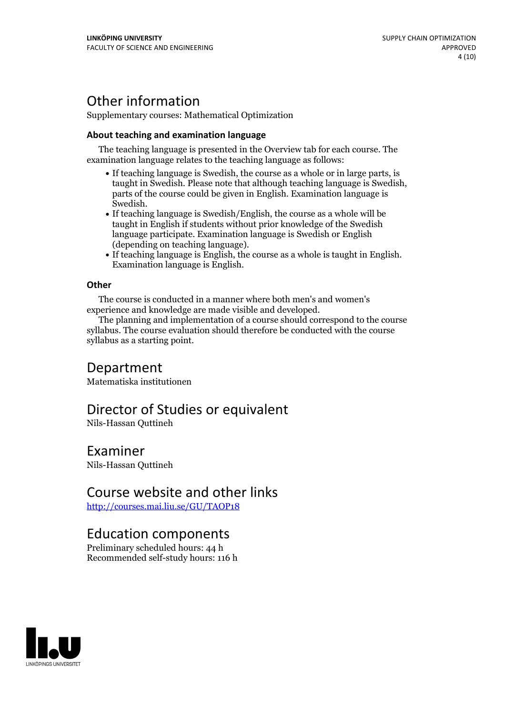### Other information

Supplementary courses: Mathematical Optimization

#### **About teaching and examination language**

The teaching language is presented in the Overview tab for each course. The examination language relates to the teaching language as follows:

- If teaching language is Swedish, the course as a whole or in large parts, is parts of the course could be given in English. Examination language is Swedish.<br>• If teaching language is Swedish/English, the course as a whole will be
- taught in English if students without prior knowledge of the Swedish language participate. Examination language is Swedish or English
- (depending on teaching language).<br>• If teaching language is English, the course as a whole is taught in English.<br>Examination language is English.

#### **Other**

The course is conducted in a manner where both men's and women's experience and knowledge are made visible and developed.

The planning and implementation of a course should correspond to the course syllabus. The course evaluation should therefore be conducted with the course syllabus as a starting point.

### Department

Matematiska institutionen

### Director of Studies or equivalent

Nils-Hassan Quttineh

### Examiner

Nils-Hassan Quttineh

### Course website and other links

<http://courses.mai.liu.se/GU/TAOP18>

### Education components

Preliminary scheduled hours: 44 h Recommended self-study hours: 116 h

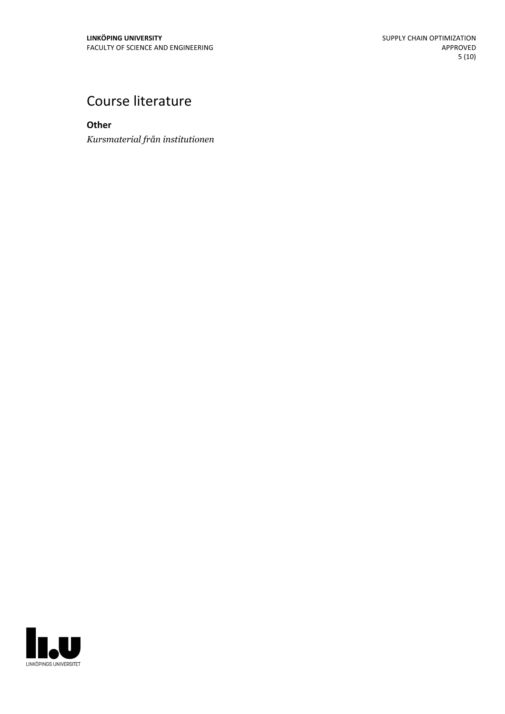## Course literature

**Other**

*Kursmaterial från institutionen*

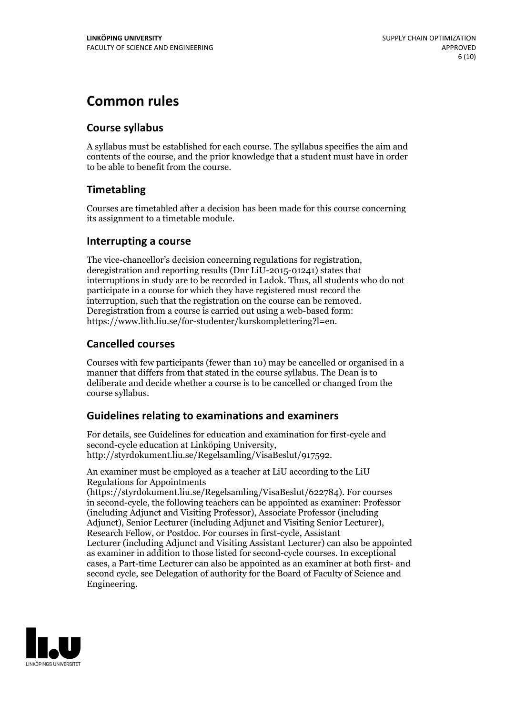### **Common rules**

#### **Course syllabus**

A syllabus must be established for each course. The syllabus specifies the aim and contents of the course, and the prior knowledge that a student must have in order to be able to benefit from the course.

### **Timetabling**

Courses are timetabled after a decision has been made for this course concerning its assignment to a timetable module.

#### **Interrupting a course**

The vice-chancellor's decision concerning regulations for registration, deregistration and reporting results (Dnr LiU-2015-01241) states that interruptions in study are to be recorded in Ladok. Thus, all students who do not participate in a course for which they have registered must record the interruption, such that the registration on the course can be removed. Deregistration from <sup>a</sup> course is carried outusing <sup>a</sup> web-based form: https://www.lith.liu.se/for-studenter/kurskomplettering?l=en.

### **Cancelled courses**

Courses with few participants (fewer than 10) may be cancelled or organised in a manner that differs from that stated in the course syllabus. The Dean is to deliberate and decide whether a course is to be cancelled or changed from the course syllabus.

### **Guidelines relatingto examinations and examiners**

For details, see Guidelines for education and examination for first-cycle and second-cycle education at Linköping University, http://styrdokument.liu.se/Regelsamling/VisaBeslut/917592.

An examiner must be employed as a teacher at LiU according to the LiU Regulations for Appointments

(https://styrdokument.liu.se/Regelsamling/VisaBeslut/622784). For courses in second-cycle, the following teachers can be appointed as examiner: Professor (including Adjunct and Visiting Professor), Associate Professor (including Adjunct), Senior Lecturer (including Adjunct and Visiting Senior Lecturer), Research Fellow, or Postdoc. For courses in first-cycle, Assistant Lecturer (including Adjunct and Visiting Assistant Lecturer) can also be appointed as examiner in addition to those listed for second-cycle courses. In exceptional cases, a Part-time Lecturer can also be appointed as an examiner at both first- and second cycle, see Delegation of authority for the Board of Faculty of Science and Engineering.

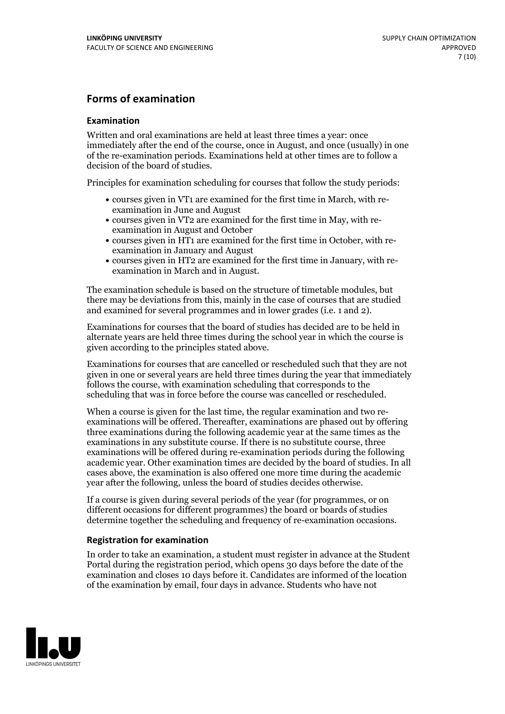#### **Forms of examination**

#### **Examination**

Written and oral examinations are held at least three times a year: once immediately after the end of the course, once in August, and once (usually) in one of the re-examination periods. Examinations held at other times are to follow a decision of the board of studies.

Principles for examination scheduling for courses that follow the study periods:

- courses given in VT1 are examined for the first time in March, with re-examination in June and August
- courses given in VT2 are examined for the first time in May, with re-examination in August and October
- courses given in HT1 are examined for the first time in October, with re-examination in January and August
- courses given in HT2 are examined for the first time in January, with re-examination in March and in August.

The examination schedule is based on the structure of timetable modules, but there may be deviations from this, mainly in the case of courses that are studied and examined for several programmes and in lower grades (i.e. 1 and 2).

Examinations for courses that the board of studies has decided are to be held in alternate years are held three times during the school year in which the course is given according to the principles stated above.

Examinations for courses that are cancelled orrescheduled such that they are not given in one or several years are held three times during the year that immediately follows the course, with examination scheduling that corresponds to the scheduling that was in force before the course was cancelled or rescheduled.

When a course is given for the last time, the regular examination and two re-<br>examinations will be offered. Thereafter, examinations are phased out by offering three examinations during the following academic year at the same times as the examinations in any substitute course. If there is no substitute course, three examinations will be offered during re-examination periods during the following academic year. Other examination times are decided by the board of studies. In all cases above, the examination is also offered one more time during the academic year after the following, unless the board of studies decides otherwise.

If a course is given during several periods of the year (for programmes, or on different occasions for different programmes) the board or boards of studies determine together the scheduling and frequency of re-examination occasions.

#### **Registration for examination**

In order to take an examination, a student must register in advance at the Student Portal during the registration period, which opens 30 days before the date of the examination and closes 10 days before it. Candidates are informed of the location of the examination by email, four days in advance. Students who have not

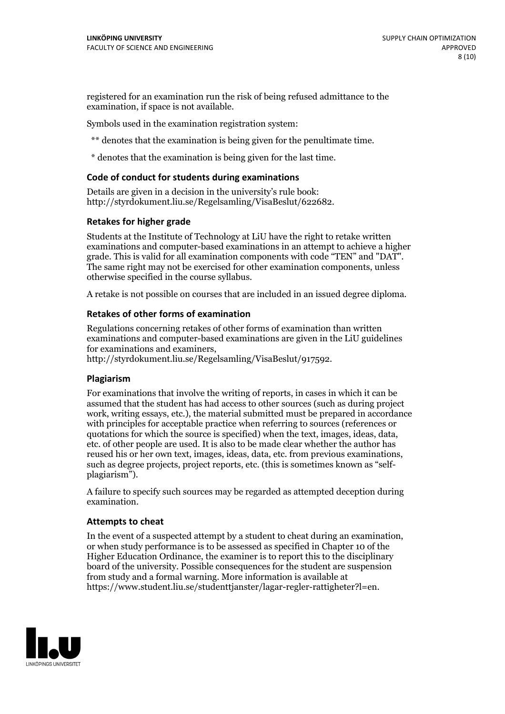registered for an examination run the risk of being refused admittance to the examination, if space is not available.

Symbols used in the examination registration system:

\*\* denotes that the examination is being given for the penultimate time.

\* denotes that the examination is being given for the last time.

#### **Code of conduct for students during examinations**

Details are given in a decision in the university's rule book: http://styrdokument.liu.se/Regelsamling/VisaBeslut/622682.

#### **Retakes for higher grade**

Students at the Institute of Technology at LiU have the right to retake written examinations and computer-based examinations in an attempt to achieve a higher grade. This is valid for all examination components with code "TEN" and "DAT". The same right may not be exercised for other examination components, unless otherwise specified in the course syllabus.

A retake is not possible on courses that are included in an issued degree diploma.

#### **Retakes of other forms of examination**

Regulations concerning retakes of other forms of examination than written examinations and computer-based examinations are given in the LiU guidelines

http://styrdokument.liu.se/Regelsamling/VisaBeslut/917592.

#### **Plagiarism**

For examinations that involve the writing of reports, in cases in which it can be assumed that the student has had access to other sources (such as during project work, writing essays, etc.), the material submitted must be prepared in accordance with principles for acceptable practice when referring to sources (references or quotations for which the source is specified) when the text, images, ideas, data,  $\vec{e}$  etc. of other people are used. It is also to be made clear whether the author has reused his or her own text, images, ideas, data, etc. from previous examinations, such as degree projects, project reports, etc. (this is sometimes known as "self- plagiarism").

A failure to specify such sources may be regarded as attempted deception during examination.

#### **Attempts to cheat**

In the event of <sup>a</sup> suspected attempt by <sup>a</sup> student to cheat during an examination, or when study performance is to be assessed as specified in Chapter <sup>10</sup> of the Higher Education Ordinance, the examiner is to report this to the disciplinary board of the university. Possible consequences for the student are suspension from study and a formal warning. More information is available at https://www.student.liu.se/studenttjanster/lagar-regler-rattigheter?l=en.

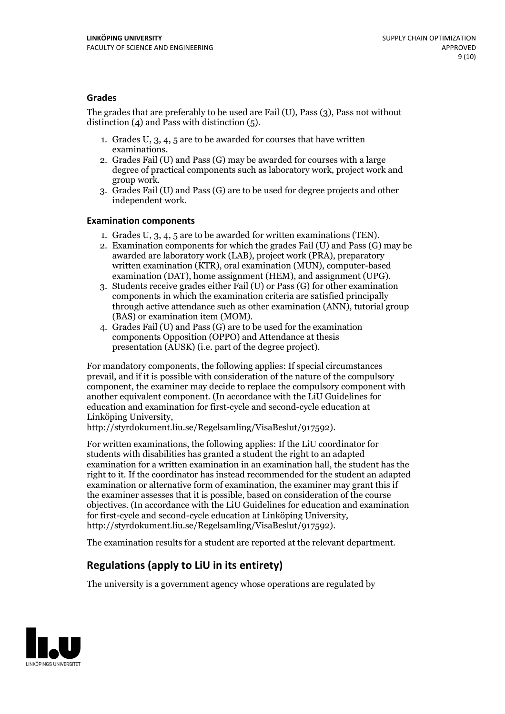#### **Grades**

The grades that are preferably to be used are Fail (U), Pass (3), Pass not without distinction  $(4)$  and Pass with distinction  $(5)$ .

- 1. Grades U, 3, 4, 5 are to be awarded for courses that have written
- examinations. 2. Grades Fail (U) and Pass (G) may be awarded for courses with <sup>a</sup> large degree of practical components such as laboratory work, project work and group work. 3. Grades Fail (U) and Pass (G) are to be used for degree projects and other
- independent work.

#### **Examination components**

- 
- 1. Grades U, 3, 4, <sup>5</sup> are to be awarded for written examinations (TEN). 2. Examination components for which the grades Fail (U) and Pass (G) may be awarded are laboratory work (LAB), project work (PRA), preparatory written examination (KTR), oral examination (MUN), computer-based
- examination (DAT), home assignment (HEM), and assignment (UPG). 3. Students receive grades either Fail (U) or Pass (G) for other examination components in which the examination criteria are satisfied principally through active attendance such as other examination (ANN), tutorial group
- (BAS) or examination item (MOM). 4. Grades Fail (U) and Pass (G) are to be used for the examination components Opposition (OPPO) and Attendance at thesis presentation (AUSK) (i.e. part of the degree project).

For mandatory components, the following applies: If special circumstances prevail, and if it is possible with consideration of the nature of the compulsory component, the examiner may decide to replace the compulsory component with another equivalent component. (In accordance with the LiU Guidelines for education and examination for first-cycle and second-cycle education at Linköping University, http://styrdokument.liu.se/Regelsamling/VisaBeslut/917592).

For written examinations, the following applies: If the LiU coordinator for students with disabilities has granted a student the right to an adapted examination for a written examination in an examination hall, the student has the right to it. If the coordinator has instead recommended for the student an adapted examination or alternative form of examination, the examiner may grant this if the examiner assesses that it is possible, based on consideration of the course objectives. (In accordance with the LiU Guidelines for education and examination for first-cycle and second-cycle education at Linköping University, http://styrdokument.liu.se/Regelsamling/VisaBeslut/917592).

The examination results for a student are reported at the relevant department.

### **Regulations (applyto LiU in its entirety)**

The university is a government agency whose operations are regulated by